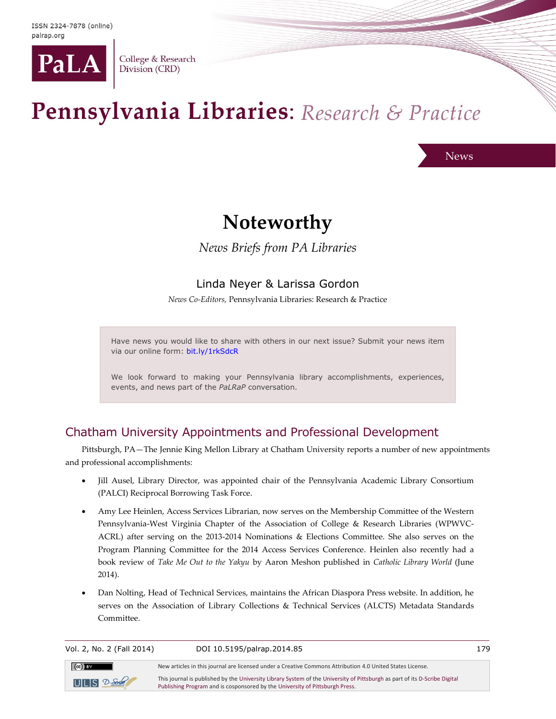

College & Research Division (CRD)

# Pennsylvania Libraries: Research & Practice

News

## **Noteworthy**

*News Briefs from PA Libraries*

## Linda Neyer & Larissa Gordon

*News Co-Editors,* Pennsylvania Libraries: Research & Practice

Have news you would like to share with others in our next issue? Submit your news item via our online form: [bit.ly/1rkSdcR](http://bit.ly/1rkSdcR)

We look forward to making your Pennsylvania library accomplishments, experiences, events, and news part of the *PaLRaP* conversation.

## Chatham University Appointments and Professional Development

Pittsburgh, PA—The Jennie King Mellon Library at Chatham University reports a number of new appointments and professional accomplishments:

- Jill Ausel, Library Director, was appointed chair of the Pennsylvania Academic Library Consortium (PALCI) Reciprocal Borrowing Task Force.
- Amy Lee Heinlen, Access Services Librarian, now serves on the Membership Committee of the Western Pennsylvania-West Virginia Chapter of the Association of College & Research Libraries (WPWVC-ACRL) after serving on the 2013-2014 Nominations & Elections Committee. She also serves on the Program Planning Committee for the 2014 Access Services Conference. Heinlen also recently had a book review of *Take Me Out to the Yakyu* by Aaron Meshon published in *Catholic Library World* (June 2014).
- Dan Nolting, Head of Technical Services, maintains the African Diaspora Press website. In addition, he serves on the Association of Library Collections & Technical Services (ALCTS) Metadata Standards Committee.

Vol. 2, No. 2 (Fall 2014) DOI 10.5195/palrap.2014.85 179  $(Cc)$  BY New articles in this journal are licensed under a Creative Commons Attribution 4.0 United States License. This journal is published by th[e University Library System](http://www.library.pitt.edu/) of th[e University of Pittsburgh](http://www.pitt.edu/) as part of it[s D-Scribe Digital](http://www.library.pitt.edu/articles/digpubtype/index.html)   $UILIS$   $2-5$ [Publishing Program](http://www.library.pitt.edu/articles/digpubtype/index.html) and is cosponsored by th[e University of Pittsburgh Press.](http://upress.pitt.edu/)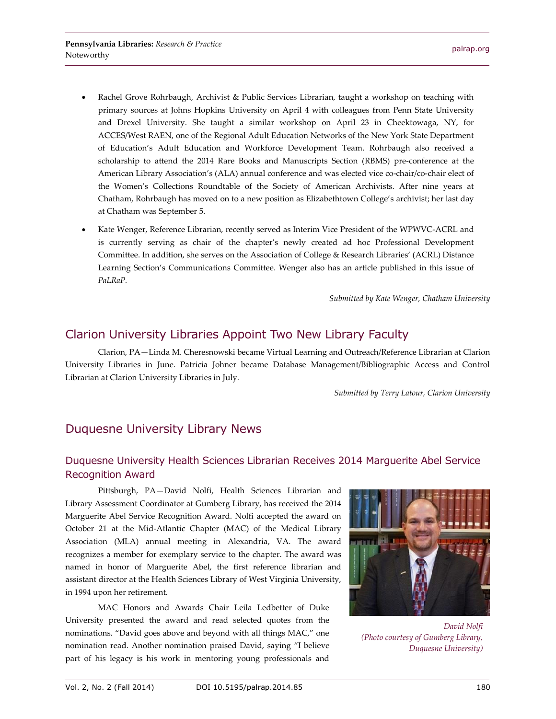- Rachel Grove Rohrbaugh, Archivist & Public Services Librarian, taught a workshop on teaching with primary sources at Johns Hopkins University on April 4 with colleagues from Penn State University and Drexel University. She taught a similar workshop on April 23 in Cheektowaga, NY, for ACCES/West RAEN, one of the Regional Adult Education Networks of the New York State Department of Education's Adult Education and Workforce Development Team. Rohrbaugh also received a scholarship to attend the 2014 Rare Books and Manuscripts Section (RBMS) pre-conference at the American Library Association's (ALA) annual conference and was elected vice co-chair/co-chair elect of the Women's Collections Roundtable of the Society of American Archivists. After nine years at Chatham, Rohrbaugh has moved on to a new position as Elizabethtown College's archivist; her last day at Chatham was September 5.
- Kate Wenger, Reference Librarian, recently served as Interim Vice President of the WPWVC-ACRL and is currently serving as chair of the chapter's newly created ad hoc Professional Development Committee. In addition, she serves on the Association of College & Research Libraries' (ACRL) Distance Learning Section's Communications Committee. Wenger also has an article published in this issue of *PaLRaP.*

*Submitted by Kate Wenger, Chatham University*

#### Clarion University Libraries Appoint Two New Library Faculty

Clarion, PA—Linda M. Cheresnowski became Virtual Learning and Outreach/Reference Librarian at Clarion University Libraries in June. Patricia Johner became Database Management/Bibliographic Access and Control Librarian at Clarion University Libraries in July.

*Submitted by Terry Latour, Clarion University*

## Duquesne University Library News

#### Duquesne University Health Sciences Librarian Receives 2014 Marguerite Abel Service Recognition Award

Pittsburgh, PA—David Nolfi, Health Sciences Librarian and Library Assessment Coordinator at Gumberg Library, has received the 2014 Marguerite Abel Service Recognition Award. Nolfi accepted the award on October 21 at the Mid-Atlantic Chapter (MAC) of the Medical Library Association (MLA) annual meeting in Alexandria, VA. The award recognizes a member for exemplary service to the chapter. The award was named in honor of Marguerite Abel, the first reference librarian and assistant director at the Health Sciences Library of West Virginia University, in 1994 upon her retirement.

MAC Honors and Awards Chair Leila Ledbetter of Duke University presented the award and read selected quotes from the nominations. "David goes above and beyond with all things MAC," one nomination read. Another nomination praised David, saying "I believe part of his legacy is his work in mentoring young professionals and



*David Nolfi (Photo courtesy of Gumberg Library, Duquesne University)*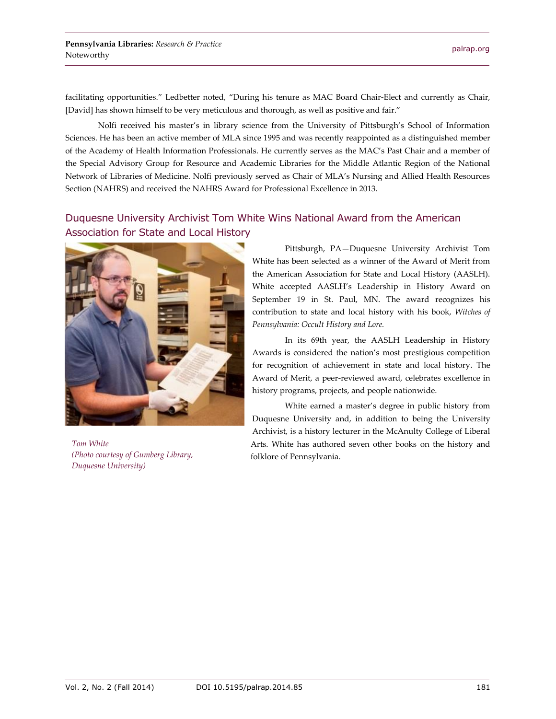facilitating opportunities." Ledbetter noted, "During his tenure as MAC Board Chair-Elect and currently as Chair, [David] has shown himself to be very meticulous and thorough, as well as positive and fair."

Nolfi received his master's in library science from the University of Pittsburgh's School of Information Sciences. He has been an active member of MLA since 1995 and was recently reappointed as a distinguished member of the Academy of Health Information Professionals. He currently serves as the MAC's Past Chair and a member of the Special Advisory Group for Resource and Academic Libraries for the Middle Atlantic Region of the National Network of Libraries of Medicine. Nolfi previously served as Chair of MLA's Nursing and Allied Health Resources Section (NAHRS) and received the NAHRS Award for Professional Excellence in 2013.

#### Duquesne University Archivist Tom White Wins National Award from the American Association for State and Local History



*Tom White (Photo courtesy of Gumberg Library, Duquesne University)*

Pittsburgh, PA—Duquesne University Archivist Tom White has been selected as a winner of the Award of Merit from the American Association for State and Local History (AASLH). White accepted AASLH's Leadership in History Award on September 19 in St. Paul, MN. The award recognizes his contribution to state and local history with his book, *Witches of Pennsylvania: Occult History and Lore.*

In its 69th year, the AASLH Leadership in History Awards is considered the nation's most prestigious competition for recognition of achievement in state and local history. The Award of Merit, a peer-reviewed award, celebrates excellence in history programs, projects, and people nationwide.

White earned a master's degree in public history from Duquesne University and, in addition to being the University Archivist, is a history lecturer in the McAnulty College of Liberal Arts. White has authored seven other books on the history and folklore of Pennsylvania.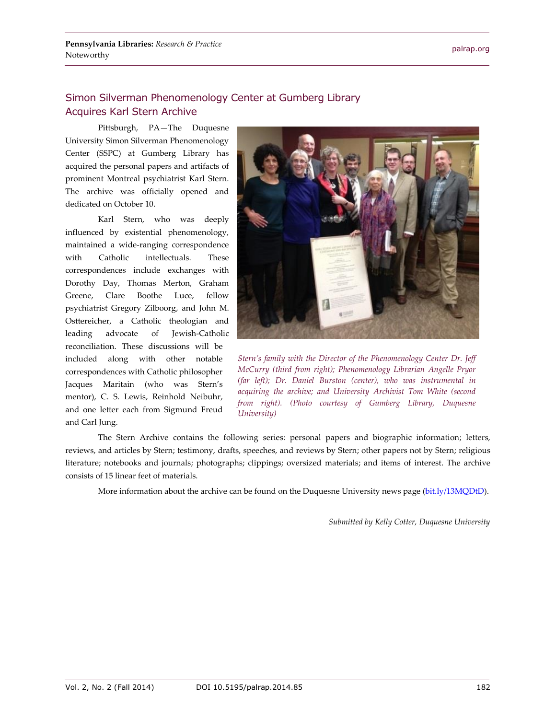## Simon Silverman Phenomenology Center at Gumberg Library Acquires Karl Stern Archive

Pittsburgh, PA—The Duquesne University Simon Silverman Phenomenology Center (SSPC) at Gumberg Library has acquired the personal papers and artifacts of prominent Montreal psychiatrist Karl Stern. The archive was officially opened and dedicated on October 10.

Karl Stern, who was deeply influenced by existential phenomenology, maintained a wide-ranging correspondence with Catholic intellectuals. These correspondences include exchanges with Dorothy Day, Thomas Merton, Graham Greene, Clare Boothe Luce, fellow psychiatrist Gregory Zilboorg, and John M. Osttereicher, a Catholic theologian and leading advocate of Jewish-Catholic reconciliation. These discussions will be included along with other notable correspondences with Catholic philosopher Jacques Maritain (who was Stern's mentor), C. S. Lewis, Reinhold Neibuhr, and one letter each from Sigmund Freud and Carl Jung.



*Stern's family with the Director of the Phenomenology Center Dr. Jeff McCurry (third from right); Phenomenology Librarian Angelle Pryor (far left); Dr. Daniel Burston (center), who was instrumental in acquiring the archive; and University Archivist Tom White (second from right). (Photo courtesy of Gumberg Library, Duquesne University)*

The Stern Archive contains the following series: personal papers and biographic information; letters, reviews, and articles by Stern; testimony, drafts, speeches, and reviews by Stern; other papers not by Stern; religious literature; notebooks and journals; photographs; clippings; oversized materials; and items of interest. The archive consists of 15 linear feet of materials.

More information about the archive can be found on the Duquesne University news page (bit.ly/13MODtD).

*Submitted by Kelly Cotter, Duquesne University*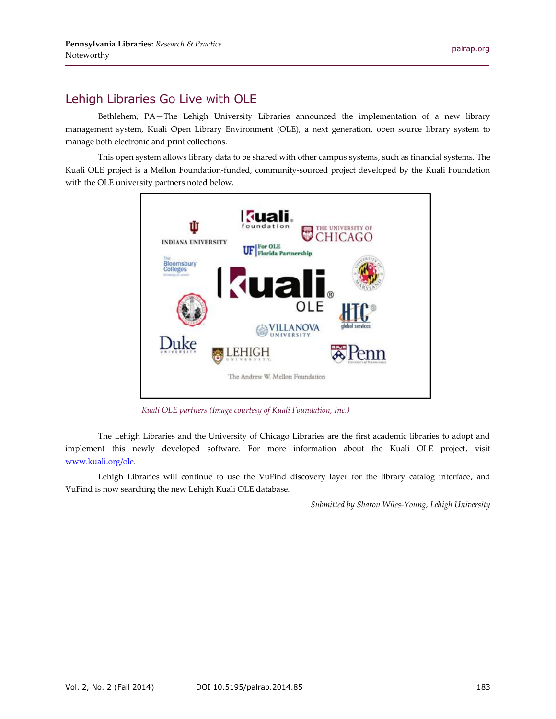## Lehigh Libraries Go Live with OLE

Bethlehem, PA—The Lehigh University Libraries announced the implementation of a new library management system, Kuali Open Library Environment (OLE), a next generation, open source library system to manage both electronic and print collections.

This open system allows library data to be shared with other campus systems, such as financial systems. The Kuali OLE project is a Mellon Foundation-funded, community-sourced project developed by the Kuali Foundation with the OLE university partners noted below.



*Kuali OLE partners (Image courtesy of Kuali Foundation, Inc.)*

The Lehigh Libraries and the University of Chicago Libraries are the first academic libraries to adopt and implement this newly developed software. For more information about the Kuali OLE project, visit [www.kuali.org/ole.](http://www.kuali.org/ole)

Lehigh Libraries will continue to use the VuFind discovery layer for the library catalog interface, and VuFind is now searching the new Lehigh Kuali OLE database.

*Submitted by Sharon Wiles-Young, Lehigh University*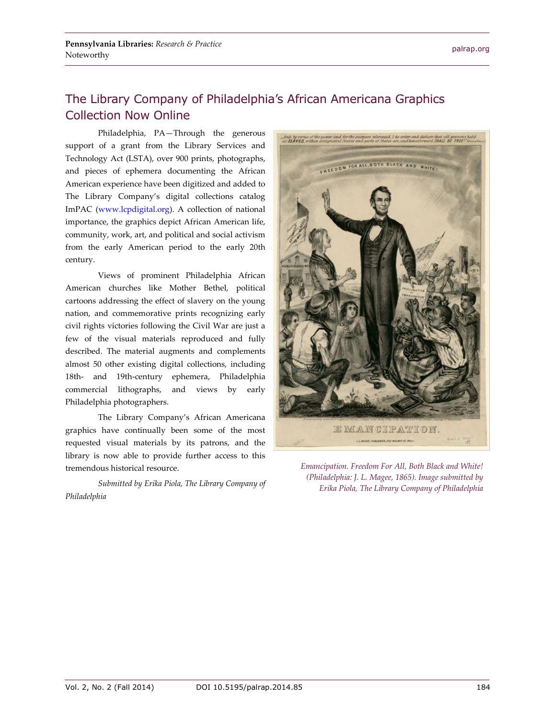## The Library Company of Philadelphia's African Americana Graphics Collection Now Online

Philadelphia, PA—Through the generous support of a grant from the Library Services and Technology Act (LSTA), over 900 prints, photographs, and pieces of ephemera documenting the African American experience have been digitized and added to The Library Company's digital collections catalog ImPAC [\(www.lcpdigital.org\)](http://www.lcpdigital.org/). A collection of national importance, the graphics depict African American life, community, work, art, and political and social activism from the early American period to the early 20th century.

Views of prominent Philadelphia African American churches like Mother Bethel, political cartoons addressing the effect of slavery on the young nation, and commemorative prints recognizing early civil rights victories following the Civil War are just a few of the visual materials reproduced and fully described. The material augments and complements almost 50 other existing digital collections, including 18th- and 19th-century ephemera, Philadelphia commercial lithographs, and views by early Philadelphia photographers.

The Library Company's African Americana graphics have continually been some of the most requested visual materials by its patrons, and the library is now able to provide further access to this tremendous historical resource.

*Submitted by Erika Piola, The Library Company of Philadelphia*



*Emancipation. Freedom For All, Both Black and White! (Philadelphia: J. L. Magee, 1865). Image submitted by Erika Piola, The Library Company of Philadelphia*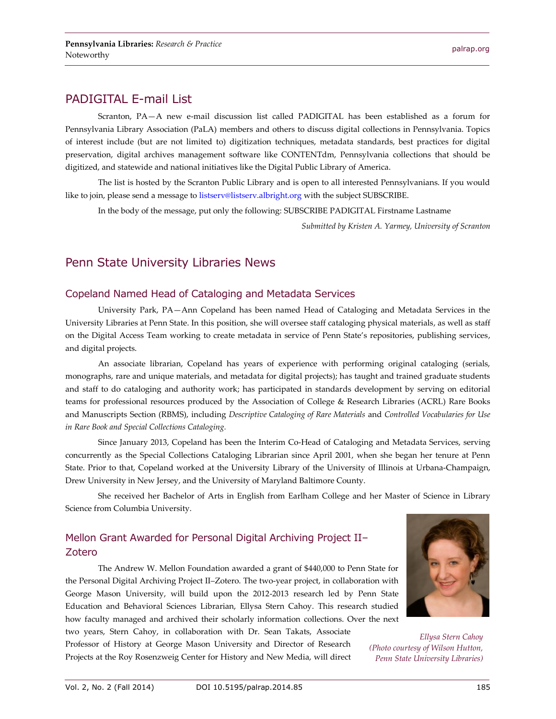### PADIGITAL E-mail List

Scranton, PA—A new e-mail discussion list called PADIGITAL has been established as a forum for Pennsylvania Library Association (PaLA) members and others to discuss digital collections in Pennsylvania. Topics of interest include (but are not limited to) digitization techniques, metadata standards, best practices for digital preservation, digital archives management software like CONTENTdm, Pennsylvania collections that should be digitized, and statewide and national initiatives like the Digital Public Library of America.

The list is hosted by the Scranton Public Library and is open to all interested Pennsylvanians. If you would like to join, please send a message t[o listserv@listserv.albright.org](mailto:listserv@listserv.albright.org) with the subject SUBSCRIBE.

In the body of the message, put only the following: SUBSCRIBE PADIGITAL Firstname Lastname

*Submitted by Kristen A. Yarmey, University of Scranton*

#### Penn State University Libraries News

#### Copeland Named Head of Cataloging and Metadata Services

University Park, PA—Ann Copeland has been named Head of Cataloging and Metadata Services in the University Libraries at Penn State. In this position, she will oversee staff cataloging physical materials, as well as staff on the Digital Access Team working to create metadata in service of Penn State's repositories, publishing services, and digital projects.

An associate librarian, Copeland has years of experience with performing original cataloging (serials, monographs, rare and unique materials, and metadata for digital projects); has taught and trained graduate students and staff to do cataloging and authority work; has participated in standards development by serving on editorial teams for professional resources produced by the Association of College & Research Libraries (ACRL) Rare Books and Manuscripts Section (RBMS), including *Descriptive Cataloging of Rare Materials* and *Controlled Vocabularies for Use in Rare Book and Special Collections Cataloging.*

Since January 2013, Copeland has been the Interim Co-Head of Cataloging and Metadata Services, serving concurrently as the Special Collections Cataloging Librarian since April 2001, when she began her tenure at Penn State. Prior to that, Copeland worked at the University Library of the University of Illinois at Urbana-Champaign, Drew University in New Jersey, and the University of Maryland Baltimore County.

She received her Bachelor of Arts in English from Earlham College and her Master of Science in Library Science from Columbia University.

#### Mellon Grant Awarded for Personal Digital Archiving Project II– Zotero

The Andrew W. Mellon Foundation awarded a grant of \$440,000 to Penn State for the Personal Digital Archiving Project II–Zotero. The two-year project, in collaboration with George Mason University, will build upon the 2012-2013 research led by Penn State Education and Behavioral Sciences Librarian, Ellysa Stern Cahoy. This research studied how faculty managed and archived their scholarly information collections. Over the next

two years, Stern Cahoy, in collaboration with Dr. Sean Takats, Associate Professor of History at George Mason University and Director of Research Projects at the Roy Rosenzweig Center for History and New Media, will direct



*Ellysa Stern Cahoy (Photo courtesy of Wilson Hutton, Penn State University Libraries)*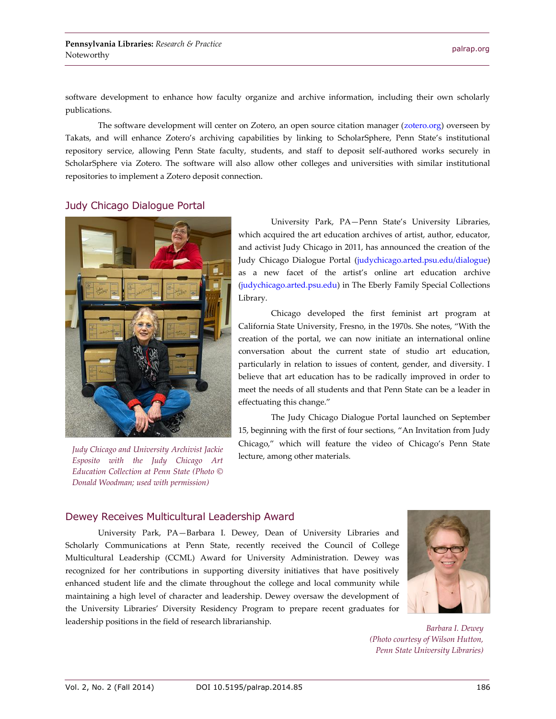software development to enhance how faculty organize and archive information, including their own scholarly publications.

The software development will center on Zotero, an open source citation manager [\(zotero.org\)](http://zotero.org/) overseen by Takats, and will enhance Zotero's archiving capabilities by linking to ScholarSphere, Penn State's institutional repository service, allowing Penn State faculty, students, and staff to deposit self-authored works securely in ScholarSphere via Zotero. The software will also allow other colleges and universities with similar institutional repositories to implement a Zotero deposit connection.

#### Judy Chicago Dialogue Portal

Noteworthy



*Judy Chicago and University Archivist Jackie Esposito with the Judy Chicago Art Education Collection at Penn State (Photo © Donald Woodman; used with permission)*

University Park, PA—Penn State's University Libraries, which acquired the art education archives of artist, author, educator, and activist Judy Chicago in 2011, has announced the creation of the Judy Chicago Dialogue Portal [\(judychicago.arted.psu.edu/dialogue\)](http://judychicago.arted.psu.edu/dialogue) as a new facet of the artist's online art education archive [\(judychicago.arted.psu.edu\)](http://judychicago.arted.psu.edu/) in The Eberly Family Special Collections Library.

Chicago developed the first feminist art program at California State University, Fresno, in the 1970s. She notes, "With the creation of the portal, we can now initiate an international online conversation about the current state of studio art education, particularly in relation to issues of content, gender, and diversity. I believe that art education has to be radically improved in order to meet the needs of all students and that Penn State can be a leader in effectuating this change."

The Judy Chicago Dialogue Portal launched on September 15, beginning with the first of four sections, "An Invitation from Judy Chicago," which will feature the video of Chicago's Penn State lecture, among other materials.

#### Dewey Receives Multicultural Leadership Award

University Park, PA—Barbara I. Dewey, Dean of University Libraries and Scholarly Communications at Penn State, recently received the Council of College Multicultural Leadership (CCML) Award for University Administration. Dewey was recognized for her contributions in supporting diversity initiatives that have positively enhanced student life and the climate throughout the college and local community while maintaining a high level of character and leadership. Dewey oversaw the development of the University Libraries' Diversity Residency Program to prepare recent graduates for leadership positions in the field of research librarianship.



*Barbara I. Dewey (Photo courtesy of Wilson Hutton, Penn State University Libraries)*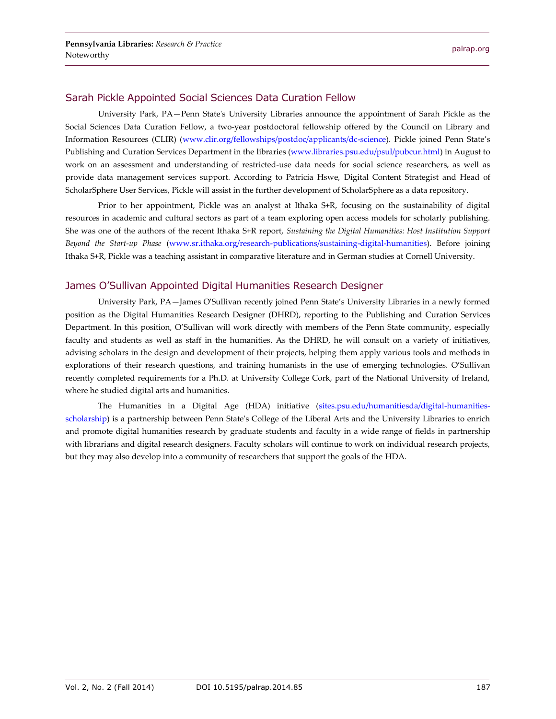#### Sarah Pickle Appointed Social Sciences Data Curation Fellow

University Park, PA—Penn State's University Libraries announce the appointment of Sarah Pickle as the Social Sciences Data Curation Fellow, a two-year postdoctoral fellowship offered by the Council on Library and Information Resources (CLIR) [\(www.clir.org/fellowships/postdoc/applicants/dc-science\)](http://www.clir.org/fellowships/postdoc/applicants/dc-science). Pickle joined Penn State's Publishing and Curation Services Department in the libraries [\(www.libraries.psu.edu/psul/pubcur.html\)](http://www.libraries.psu.edu/psul/pubcur.html) in August to work on an assessment and understanding of restricted-use data needs for social science researchers, as well as provide data management services support. According to Patricia Hswe, Digital Content Strategist and Head of ScholarSphere User Services, Pickle will assist in the further development of ScholarSphere as a data repository.

Prior to her appointment, Pickle was an analyst at Ithaka S+R, focusing on the sustainability of digital resources in academic and cultural sectors as part of a team exploring open access models for scholarly publishing. She was one of the authors of the recent Ithaka S+R report, *Sustaining the Digital Humanities: Host Institution Support Beyond the Start-up Phase* [\(www.sr.ithaka.org/research-publications/sustaining-digital-humanities\)](http://www.sr.ithaka.org/research-publications/sustaining-digital-humanities). Before joining Ithaka S+R, Pickle was a teaching assistant in comparative literature and in German studies at Cornell University.

#### James O'Sullivan Appointed Digital Humanities Research Designer

University Park, PA—James O'Sullivan recently joined Penn State's University Libraries in a newly formed position as the Digital Humanities Research Designer (DHRD), reporting to the Publishing and Curation Services Department. In this position, O'Sullivan will work directly with members of the Penn State community, especially faculty and students as well as staff in the humanities. As the DHRD, he will consult on a variety of initiatives, advising scholars in the design and development of their projects, helping them apply various tools and methods in explorations of their research questions, and training humanists in the use of emerging technologies. O'Sullivan recently completed requirements for a Ph.D. at University College Cork, part of the National University of Ireland, where he studied digital arts and humanities.

The Humanities in a Digital Age (HDA) initiative [\(sites.psu.edu/humanitiesda/digital-humanities](http://sites.psu.edu/humanitiesda/digital-humanities-scholarship)[scholarship\)](http://sites.psu.edu/humanitiesda/digital-humanities-scholarship) is a partnership between Penn State's College of the Liberal Arts and the University Libraries to enrich and promote digital humanities research by graduate students and faculty in a wide range of fields in partnership with librarians and digital research designers. Faculty scholars will continue to work on individual research projects, but they may also develop into a community of researchers that support the goals of the HDA.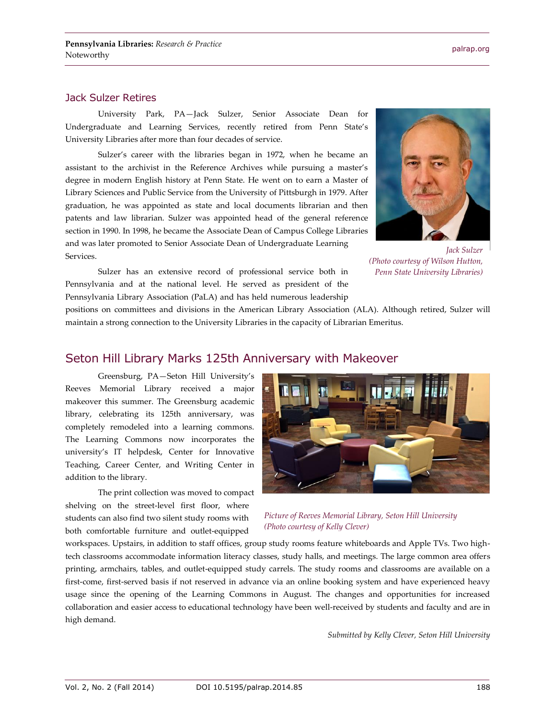#### Jack Sulzer Retires

University Park, PA—Jack Sulzer, Senior Associate Dean for Undergraduate and Learning Services, recently retired from Penn State's University Libraries after more than four decades of service.

Sulzer's career with the libraries began in 1972, when he became an assistant to the archivist in the Reference Archives while pursuing a master's degree in modern English history at Penn State. He went on to earn a Master of Library Sciences and Public Service from the University of Pittsburgh in 1979. After graduation, he was appointed as state and local documents librarian and then patents and law librarian. Sulzer was appointed head of the general reference section in 1990. In 1998, he became the Associate Dean of Campus College Libraries and was later promoted to Senior Associate Dean of Undergraduate Learning Services.

Sulzer has an extensive record of professional service both in Pennsylvania and at the national level. He served as president of the Pennsylvania Library Association (PaLA) and has held numerous leadership



*Jack Sulzer (Photo courtesy of Wilson Hutton, Penn State University Libraries)*

positions on committees and divisions in the American Library Association (ALA). Although retired, Sulzer will maintain a strong connection to the University Libraries in the capacity of Librarian Emeritus.

#### Seton Hill Library Marks 125th Anniversary with Makeover

Greensburg, PA—Seton Hill University's Reeves Memorial Library received a major makeover this summer. The Greensburg academic library, celebrating its 125th anniversary, was completely remodeled into a learning commons. The Learning Commons now incorporates the university's IT helpdesk, Center for Innovative Teaching, Career Center, and Writing Center in addition to the library.

The print collection was moved to compact shelving on the street-level first floor, where students can also find two silent study rooms with both comfortable furniture and outlet-equipped



*Picture of Reeves Memorial Library, Seton Hill University (Photo courtesy of Kelly Clever)*

workspaces. Upstairs, in addition to staff offices, group study rooms feature whiteboards and Apple TVs. Two hightech classrooms accommodate information literacy classes, study halls, and meetings. The large common area offers printing, armchairs, tables, and outlet-equipped study carrels. The study rooms and classrooms are available on a first-come, first-served basis if not reserved in advance via an online booking system and have experienced heavy usage since the opening of the Learning Commons in August. The changes and opportunities for increased collaboration and easier access to educational technology have been well-received by students and faculty and are in high demand.

*Submitted by Kelly Clever, Seton Hill University*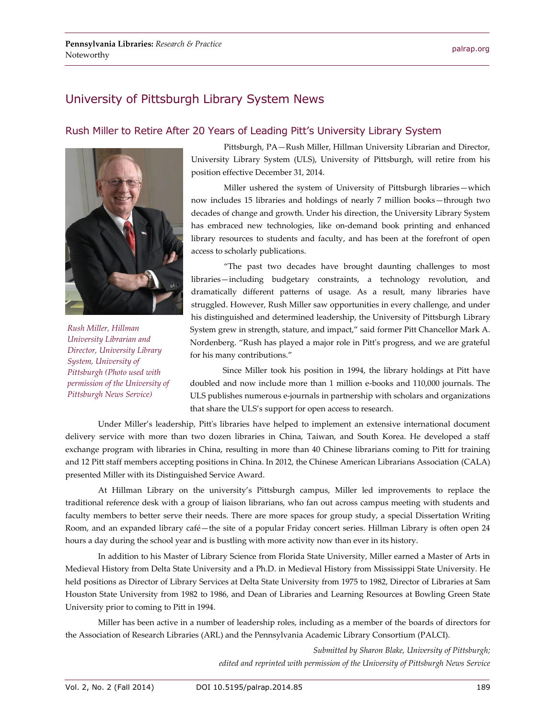## University of Pittsburgh Library System News

#### Rush Miller to Retire After 20 Years of Leading Pitt's University Library System



*Rush Miller, Hillman University Librarian and Director, University Library System, University of Pittsburgh (Photo used with permission of the University of Pittsburgh News Service)*

Pittsburgh, PA—Rush Miller, Hillman University Librarian and Director, University Library System (ULS), University of Pittsburgh, will retire from his position effective December 31, 2014.

Miller ushered the system of University of Pittsburgh libraries—which now includes 15 libraries and holdings of nearly 7 million books—through two decades of change and growth. Under his direction, the University Library System has embraced new technologies, like on-demand book printing and enhanced library resources to students and faculty, and has been at the forefront of open access to scholarly publications.

"The past two decades have brought daunting challenges to most libraries—including budgetary constraints, a technology revolution, and dramatically different patterns of usage. As a result, many libraries have struggled. However, Rush Miller saw opportunities in every challenge, and under his distinguished and determined leadership, the University of Pittsburgh Library System grew in strength, stature, and impact," said former Pitt Chancellor Mark A. Nordenberg. "Rush has played a major role in Pitt's progress, and we are grateful for his many contributions."

Since Miller took his position in 1994, the library holdings at Pitt have doubled and now include more than 1 million e-books and 110,000 journals. The ULS publishes numerous e-journals in partnership with scholars and organizations that share the ULS's support for open access to research.

Under Miller's leadership, Pitt's libraries have helped to implement an extensive international document delivery service with more than two dozen libraries in China, Taiwan, and South Korea. He developed a staff exchange program with libraries in China, resulting in more than 40 Chinese librarians coming to Pitt for training and 12 Pitt staff members accepting positions in China. In 2012, the Chinese American Librarians Association (CALA) presented Miller with its Distinguished Service Award.

At Hillman Library on the university's Pittsburgh campus, Miller led improvements to replace the traditional reference desk with a group of liaison librarians, who fan out across campus meeting with students and faculty members to better serve their needs. There are more spaces for group study, a special Dissertation Writing Room, and an expanded library café—the site of a popular Friday concert series. Hillman Library is often open 24 hours a day during the school year and is bustling with more activity now than ever in its history.

In addition to his Master of Library Science from Florida State University, Miller earned a Master of Arts in Medieval History from Delta State University and a Ph.D. in Medieval History from Mississippi State University. He held positions as Director of Library Services at Delta State University from 1975 to 1982, Director of Libraries at Sam Houston State University from 1982 to 1986, and Dean of Libraries and Learning Resources at Bowling Green State University prior to coming to Pitt in 1994.

Miller has been active in a number of leadership roles, including as a member of the boards of directors for the Association of Research Libraries (ARL) and the Pennsylvania Academic Library Consortium (PALCI).

> *Submitted by Sharon Blake, University of Pittsburgh; edited and reprinted with permission of the University of Pittsburgh News Service*